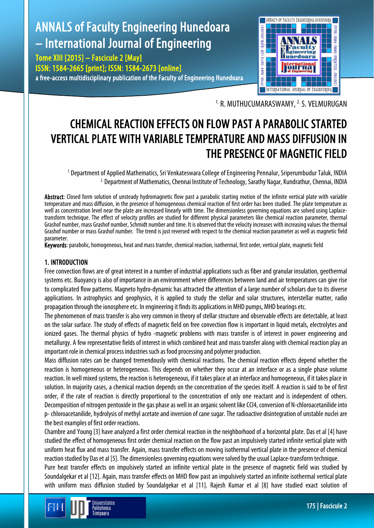# ANNALS of Faculty Engineering Hunedoara – International Journal of Engineering

Tome XIII [2015] – Fascicule 2 [May] ISSN: 1584-2665 [print]; ISSN: 1584-2673 [online] a free-access multidisciplinary publication of the Faculty of Engineering Hunedoara



<sup>1.</sup> R. MUTHUCUMARASWAMY, <sup>2.</sup> S. VELMURUGAN

## CHEMICAL REACTION EFFECTS ON FLOW PAST A PARABOLIC STARTED VERTICAL PLATE WITH VARIABLE TEMPERATURE AND MASS DIFFUSION IN THE PRESENCE OF MAGNETIC FIELD

<sup>1.</sup> Department of Applied Mathematics, Sri Venkateswara College of Engineering Pennalur, Sriperumbudur Taluk, INDIA <sup>2.</sup> Department of Mathematics, Chennai Institute of Technology, Sarathy Nagar, Kundrathur, Chennai, INDIA

Abstract: Closed form solution of unsteady hydromagnetic flow past a parabolic starting motion of the infinite vertical plate with variable temperature and mass diffusion, in the presence of homogeneous chemical reaction of first order has been studied. The plate temperature as well as concentration level near the plate are increased linearly with time. The dimensionless governing equations are solved using Laplacetransform technique. The effect of velocity profiles are studied for different physical parameters like chemical reaction parameter, thermal Grashof number, mass Grashof number, Schmidt number and time. It is observed that the velocity increases with increasing values the thermal Grashof number or mass Grashof number. The trend is just reversed with respect to the chemical reaction parameter as well as magnetic field parameter.

Keywords: parabolic, homogeneous, heat and mass transfer, chemical reaction, isothermal, first order, vertical plate, magnetic field

## 1. INTRODUCTION

Free convection flows are of great interest in a number of industrial applications such as fiber and granular insulation, geothermal systems etc. Buoyancy is also of importance in an environment where differences between land and air temperatures can give rise to complicated flow patterns. Magneto hydro-dynamic has attracted the attention of a large number of scholars due to its diverse applications. In astrophysics and geophysics, it is applied to study the stellar and solar structures, interstellar matter, radio propagation through the ionosphere etc. In engineering it finds its applications in MHD pumps, MHD bearings etc.

The phenomenon of mass transfer is also very common in theory of stellar structure and observable effects are detectable, at least on the solar surface. The study of effects of magnetic field on free convection flow is important in liquid metals, electrolytes and ionized gases. The thermal physics of hydro -magnetic problems with mass transfer is of interest in power engineering and metallurgy. A few representative fields of interest in which combined heat and mass transfer along with chemical reaction play an important role in chemical process industries such as food processing and polymer production.

Mass diffusion rates can be changed tremendously with chemical reactions. The chemical reaction effects depend whether the reaction is homogeneous or heterogeneous. This depends on whether they occur at an interface or as a single phase volume reaction. In well mixed systems, the reaction is heterogeneous, if it takes placeat an interface and homogeneous, if it takes place in solution. In majority cases, a chemical reaction depends on the concentration of the species itself. A reaction is said to be of first order, if the rate of reaction is directly proportional to the concentration of only one reactant and is independent of others. Decomposition of nitrogen pentoxide in the gas phase as well in an organic solvent like CCl4, conversion of N-chloroacetanilide into p- chloroacetanilide, hydrolysis of methyl acetate and inversion of cane sugar. The radioactive disintegration of unstable nuclei are the best examples of first order reactions.

Chambre and Young [3] have analyzed a first order chemical reaction in the neighborhood of a horizontal plate. Das et al [4] have studied the effect of homogeneous first order chemical reaction on the flow past an impulsively started infinite vertical plate with uniform heat flux and mass transfer. Again, mass transfer effects on moving isothermal vertical plate in the presence of chemical reaction studied by Das et al [5]. The dimensionless governing equations were solved by the usual Laplace-transform technique.

Pure heat transfer effects on impulsively started an infinite vertical plate in the presence of magnetic field was studied by Soundalgekar et al [12]. Again, mass transfer effects on MHD flow past an impulsively started an infinite isothermal vertical plate with uniform mass diffusion studied by Soundalgekar et al [11]. Rajesh Kumar et al [8] have studied exact solution of

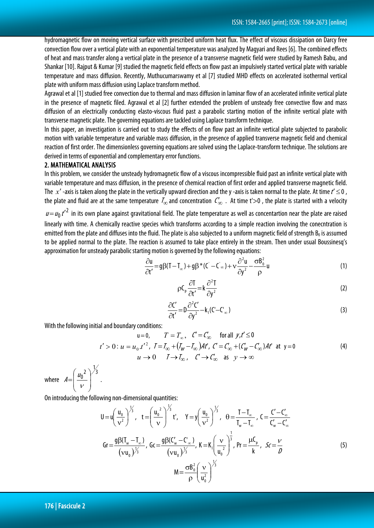hydromagnetic flow on moving vertical surface with prescribed uniform heat flux. The effect of viscous dissipation on Darcy free convection flow over a vertical plate with an exponential temperature was analyzed by Magyari and Rees [6]. The combined effects of heat and mass transfer along a vertical plate in the presence of a transverse magnetic field were studied by Ramesh Babu, and Shankar [10]. Rajput & Kumar [9] studied the magnetic field effects on flow past an impulsively started vertical plate with variable temperature and mass diffusion. Recently, Muthucumarswamy et al [7] studied MHD effects on accelerated isothermal vertical plate with uniform mass diffusion using Laplace transform method.

Agrawal et al [1] studied free convection due to thermal and mass diffusion in laminar flow of an accelerated infinite vertical plate in the presence of magnetic filed. Agrawal et al [2] further extended the problem of unsteady free convective flow and mass diffusion of an electrically conducting elasto-viscous fluid past a parabolic starting motion of the infinite vertical plate with transverse magnetic plate. The governing equations are tackled using Laplace transform technique.

In this paper, an investigation is carried out to study the effects of on flow past an infinite vertical plate subjected to parabolic motion with variable temperature and variable mass diffusion, in the presence of applied transverse magnetic field and chemical reaction of first order. The dimensionless governing equations are solved using the Laplace-transform technique. The solutions are derived in terms of exponential and complementary error functions.

#### 2. MATHEMATICAL ANALYSIS

In this problem, we consider the unsteady hydromagnetic flow of a viscous incompressible fluid past an infinite vertical plate with variable temperature and mass diffusion, in the presence of chemical reaction of first order and applied transverse magnetic field. The  $x'$ -axis is taken along the plate in the vertically upward direction and the y-axis is taken normal to the plate. At time  $t' \le 0$ , the plate and fluid are at the same temperature  $I_{\infty}$  and concentration  $C_{\infty}$ . At time t'>0, the plate is started with a velocity  $u = u_0 t'^2$  in its own plane against gravitational field. The plate temperature as well as concentartion near the plate are raised linearly with time. A chemically reactive species which transforms according to a simple reaction involving the conecntration is emitted from the plate and diffuses into the fluid. The plate is also subjected to a uniform magnetic field of strength  $B_0$  is assumed to be applied normal to the plate. The reaction is assumed to take place entirely in the stream. Then under usual Boussinesq's approximation for unsteady parabolic starting motion is governed by the following equations:

$$
\frac{\partial u}{\partial t'} = g\beta (T - T_{\infty}) + g\beta^*(C' - C_{\infty}) + v\frac{\partial^2 u}{\partial y^2} - \frac{\sigma B_0^2}{\rho}u\tag{1}
$$

$$
\rho C_p \frac{\partial T}{\partial t'} = k \frac{\partial^2 T}{\partial y^2}
$$
 (2)

$$
\frac{\partial C'}{\partial t'} = D \frac{\partial^2 C'}{\partial y^2} - k_1 (C' - C'_{\infty})
$$
\n(3)

With the following initial and boundary conditions:

$$
u=0, \qquad T=T_{\infty}, \quad C'=C_{\infty} \qquad \text{for all } y, t' \le 0
$$
\n
$$
t'>0: u = u_0. t'^2, \quad T=T_{\infty} + (T_W - T_{\infty})At', \quad C'=C_{\infty}' + (C_W' - C_{\infty}')At' \quad \text{at } y=0
$$
\n
$$
u \to 0 \qquad T \to T_{\infty}, \quad C' \to C_{\infty} \quad \text{as } y \to \infty
$$
\n(4)

where  $2\sqrt{3}$  $\overline{0}$ L  $\mathsf{I}$  $\setminus$ ſ  $A = \left| \frac{u_0}{v} \right|$  .

On introducing the following non-dimensional quantities:

 $\overline{\phantom{a}}$  $\overline{\phantom{a}}$ J

 $\setminus$ 

$$
U = u \left(\frac{u_0}{v^2}\right)^{\frac{1}{3}}, \quad t = \left(\frac{u_0^2}{v}\right)^{\frac{1}{3}} t^*, \quad Y = y \left(\frac{u_0}{v^2}\right)^{\frac{1}{3}}, \quad \theta = \frac{T - T_{\infty}}{T_w - T_{\infty}}, \quad C = \frac{C' - C'_{\infty}}{C'_{\infty} - C'_{\infty}}
$$
\n
$$
Gr = \frac{g\beta(T_w - T_{\infty})}{(vu_0)^{\frac{1}{3}}}, \quad G = \frac{g\beta(C'_w - C'_{\infty})}{(vu_0)^{\frac{1}{3}}}, \quad K = K_1 \left(\frac{v}{u_0^2}\right)^{\frac{1}{3}}, \quad Pr = \frac{\mu C_p}{k}, \quad Sc = \frac{\nu}{D}
$$
\n
$$
M = \frac{\sigma B_0^2}{\rho} \left(\frac{v}{u_0^2}\right)^{\frac{1}{3}} \tag{5}
$$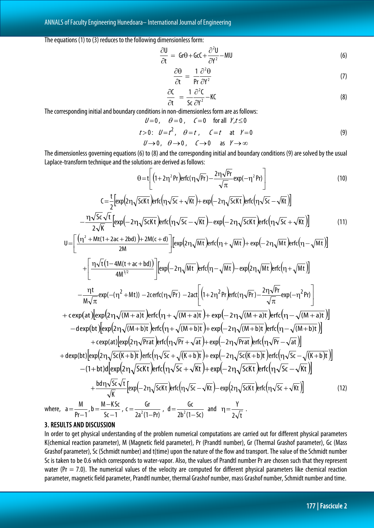The equations (1) to (3) reduces to the following dimensionless form:

$$
\frac{\partial U}{\partial t} = Gr\theta + GcC + \frac{\partial^2 U}{\partial Y^2} - MU \tag{6}
$$

$$
\frac{\partial \Theta}{\partial t} = \frac{1}{\Pr} \frac{\partial^2 \Theta}{\partial Y^2}
$$
 (7)

$$
\frac{\partial C}{\partial t} = \frac{1}{5c} \frac{\partial^2 C}{\partial Y^2} - KC \tag{8}
$$

The corresponding initial and boundary conditions in non-dimensionless form are as follows:

$$
U=0\,,\quad \theta=0\,,\quad \ \mathcal{C}=0\quad \ \, \text{for all}\;\;Y,t\leq0
$$

$$
t>0: U=t2, \quad \theta=t, \quad \zeta=t \quad \text{at} \quad Y=0
$$
  

$$
U\rightarrow 0, \quad \theta\rightarrow 0, \quad \zeta\rightarrow 0 \quad \text{as} \quad Y\rightarrow \infty
$$
 (9)

The dimensionless governing equations (6) to (8) and the corresponding initial and boundary conditions (9) are solved by the usual Laplace-transform technique and the solutions are derived as follows:

$$
\theta = t \left[ \left( 1 + 2\eta^2 Pr \right) erfc(\eta \sqrt{Pr}) - \frac{2\eta \sqrt{Pr}}{\sqrt{\pi}} exp(-\eta^2 Pr) \right]
$$
\n
$$
C = \frac{t}{2} \left[ exp\left( 2\eta \sqrt{ScKt} \right) erfc\left( \eta \sqrt{Sc} + \sqrt{Kt} \right) + exp\left( -2\eta \sqrt{ScKt} \right) erfc\left( \eta \sqrt{Sc} - \sqrt{Kt} \right) \right]
$$
\n(10)

$$
-\frac{\eta\sqrt{5c}\sqrt{t}}{2\sqrt{K}}\left[\exp\left(-2\eta\sqrt{5cKt}\right)\left[\exp\left(\eta\sqrt{5c}-\sqrt{Kt}\right)-\exp\left(-2\eta\sqrt{5cKt}\right)\right]\right]
$$
\n(11)

$$
U = \left[\frac{(\eta^2 + Mt(1+2ac+2bd)) + 2M(c+d)}{2M}\right] \left[\exp\left(2\eta\sqrt{Mt}\right) \text{erfc}\left(\eta + \sqrt{Mt}\right) + \exp\left(-2\eta\sqrt{Mt}\right) \text{erfc}\left(\eta - \sqrt{Mt}\right)\right]
$$

$$
+ \left[\frac{\eta\sqrt{t}\left(1-4M(t+ac+bd)\right)}{4M^{3/2}}\right] \left[\exp\left(-2\eta\sqrt{Mt}\right) \text{erfc}\left(\eta - \sqrt{Mt}\right) - \exp\left(2\eta\sqrt{Mt}\right) \text{erfc}\left(\eta + \sqrt{Mt}\right)\right]
$$

$$
-\frac{\eta t}{M\sqrt{\pi}}\exp(-(\eta^2+Mt)) - 2\text{erfc}(\eta\sqrt{Pr}) - 2\text{arfc}(\eta\sqrt{Pr}) - 2\text{erfc}(\eta\sqrt{Pr}) - \frac{2\eta\sqrt{Pr}}{\sqrt{\pi}}\exp(-\eta^2 Pr)\n+ c\exp(\text{ar})\left[\exp(2\eta\sqrt{(M+a)t})\text{erfc}(\eta + \sqrt{(M+a)t}) + \exp(-2\eta\sqrt{(M+a)t})\text{erfc}(\eta - \sqrt{(M+a)t})\right]\n- \text{d} \exp(\text{bt})\left[\exp(2\eta\sqrt{(M+b)t})\text{erfc}(\eta + \sqrt{(M+b)t}) + \exp(-2\eta\sqrt{(M+b)t})\text{erfc}(\eta - \sqrt{(M+b)t})\right]\n+ c\exp(\text{at})\left[\exp(2\eta\sqrt{Pr}\text{at})\text{erfc}(\eta\sqrt{Pr} + \sqrt{at}) + \exp(-2\eta\sqrt{Pr}\text{at})\text{erfc}(\eta\sqrt{Pr} - \sqrt{at})\right]\n+ \text{d} \exp(\text{bt})\left[\exp(2\eta\sqrt{5c(K+b)t})\text{erfc}(\eta\sqrt{5c} + \sqrt{(K+b)t}) + \exp(-2\eta\sqrt{5c(K+b)t})\text{erfc}(\eta\sqrt{5c} - \sqrt{(K+b)t})\right]\n- (1+b)t)\left[\exp(2\eta\sqrt{5cKt})\text{erfc}(\eta\sqrt{5c} + \sqrt{Kt}) + \exp(-2\eta\sqrt{5cKt})\text{erfc}(\eta\sqrt{5c} - \sqrt{Kt})\right]\n+ \frac{bd\eta\sqrt{5c}\sqrt{t}}{\sqrt{K}}\left[\exp(-2\eta\sqrt{5cKt})\text{erfc}(\eta\sqrt{5c} - \sqrt{Kt}) - \exp(2\eta\sqrt{5cKt})\text{erfc}(\eta\sqrt{5c} + \sqrt{Kt})\right]\n+ \frac{bd\eta\sqrt{5c}\sqrt{t}}{\sqrt{K}}\left[\exp(-2\eta\sqrt{5cKt})\text{erfc}(\eta\sqrt{5c} - \sqrt{Kt}) - \exp(2\eta\sqrt{5cKt})\text{erfc}(\eta\sqrt{5c} + \sqrt{Kt})\right]\n+ \frac{d\eta\sqrt{5c}\sqrt{t}}{\sqrt{K}}\left[\exp(-2\eta\sqrt{5cKt})\text{erfc}(\eta\sqrt{5c}
$$

where, a  $Pr-1$ '

## 3. RESULTS AND DISCUSSION

In order to get physical understanding of the problem numerical computations are carried out for different physical parameters K(chemical reaction parameter), M (Magnetic field parameter), Pr (Prandtl number), Gr (Thermal Grashof parameter), Gc (Mass Grashof parameter), Sc (Schmidt number) and t(time) upon the nature of the flow and transport. The value of the Schmidt number Sc is taken to be 0.6 which corresponds to water-vapor. Also, the values of Prandtl number Pr are chosen such that they represent water (Pr  $=$  7.0). The numerical values of the velocity are computed for different physical parameters like chemical reaction parameter, magnetic field parameter, Prandtl number, thermal Grashof number, mass Grashof number, Schmidt number and time.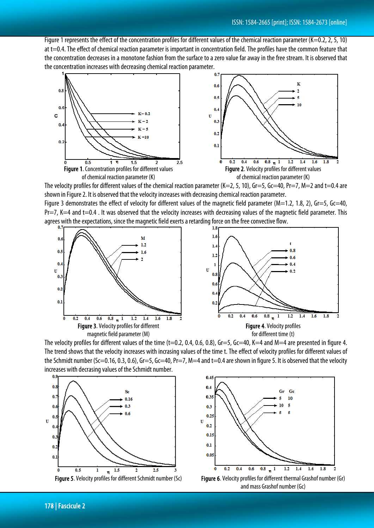Figure 1 represents the effect of the concentration profiles for different values of the chemical reaction parameter (K=0.2, 2, 5, 10) at t=0.4. The effect of chemical reaction parameter is important in concentration field. The profiles have the common feature that the concentration decreases in a monotone fashion from the surface to a zero value far away in the free stream. It is observed that the concentration increases with decreasing chemical reaction parameter.



The velocity profiles for different values of the chemical reaction parameter (K=2, 5, 10), Gr=5, Gc=40, Pr=7, M=2 and t=0.4 are shown in Figure 2. It is observed that the velocity increases with decreasing chemical reaction parameter.

Figure 3 demonstrates the effect of velocity for different values of the magnetic field parameter ( $M=1.2$ , 1.8, 2), Gr=5, Gc=40,  $Pr=7$ , K $=4$  and t $=0.4$ . It was observed that the velocity increases with decreasing values of the magnetic field parameter. This agrees with the expectations, since the magnetic field exerts a retarding force on the free convective flow.



The velocity profiles for different values of the time  $(t=0.2, 0.4, 0.6, 0.8)$ , Gr=5, Gc=40, K=4 and M=4 are presented in figure 4. The trend shows that the velocity increases with incrasing values of the time t. The effect of velocity profiles for different values of the Schmidt number (Sc=0.16, 0.3, 0.6), Gr=5, Gc=40, Pr=7, M=4 and t=0.4 are shown in figure 5. It is observed that the velocity increases with decrasing values of the Schmidt number.